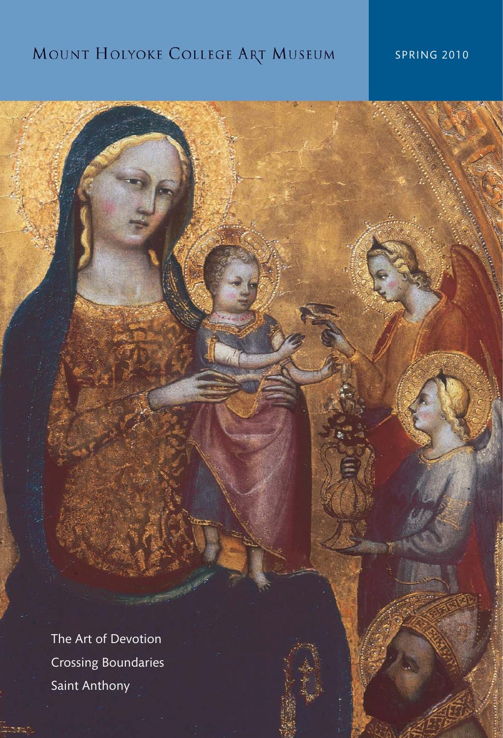# MOUNT HOLYOKE COLLEGE ART MUSEUM

# SPRING 2010

The Art of Devotion Crossing Boundaries Saint Anthony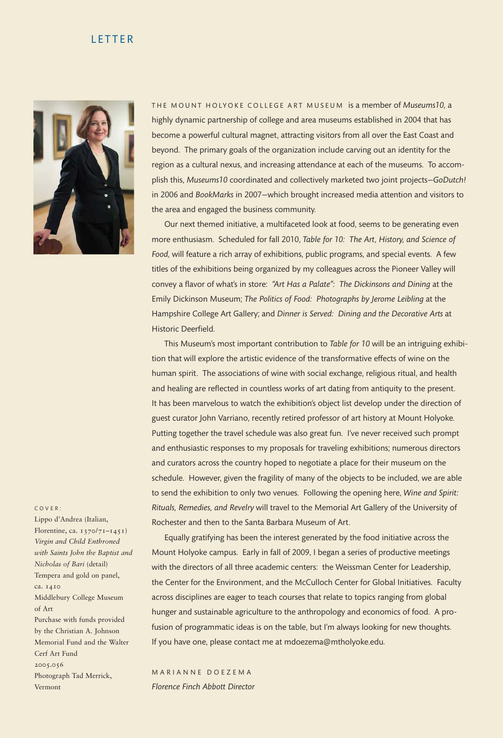#### LETTER



THE MOUNT HOLYOKE COLLEGE ART MUSEUM is a member of Museums10, a highly dynamic partnership of college and area museums established in 2004 that has become a powerful cultural magnet, attracting visitors from all over the East Coast and beyond. The primary goals of the organization include carving out an identity for the region as a cultural nexus, and increasing attendance at each of the museums. To accomplish this, *Museums10* coordinated and collectively marketed two joint projects—*GoDutch!* in 2006 and *BookMarks* in 2007—which brought increased media attention and visitors to the area and engaged the business community.

Our next themed initiative, a multifaceted look at food, seems to be generating even more enthusiasm. Scheduled for fall 2010, *Table for 10: The Art, History, and Science of Food,* will feature a rich array of exhibitions, public programs, and special events. A few titles of the exhibitions being organized by my colleagues across the Pioneer Valley will convey a flavor of what's in store: *"Art Has a Palate": The Dickinsons and Dining* at the Emily Dickinson Museum; *The Politics of Food: Photographs by Jerome Leibling* at the Hampshire College Art Gallery; and *Dinner is Served: Dining and the Decorative Arts* at Historic Deerfield.

This Museum's most important contribution to *Table for 10* will be an intriguing exhibition that will explore the artistic evidence of the transformative effects of wine on the human spirit. The associations of wine with social exchange, religious ritual, and health and healing are reflected in countless works of art dating from antiquity to the present. It has been marvelous to watch the exhibition's object list develop under the direction of guest curator John Varriano, recently retired professor of art history at Mount Holyoke. Putting together the travel schedule was also great fun. I've never received such prompt and enthusiastic responses to my proposals for traveling exhibitions; numerous directors and curators across the country hoped to negotiate a place for their museum on the schedule. However, given the fragility of many of the objects to be included, we are able to send the exhibition to only two venues. Following the opening here, *Wine and Spirit: Rituals, Remedies, and Revelry* will travel to the Memorial Art Gallery of the University of Rochester and then to the Santa Barbara Museum of Art.

Equally gratifying has been the interest generated by the food initiative across the Mount Holyoke campus. Early in fall of 2009, I began a series of productive meetings with the directors of all three academic centers: the Weissman Center for Leadership, the Center for the Environment, and the McCulloch Center for Global Initiatives. Faculty across disciplines are eager to teach courses that relate to topics ranging from global hunger and sustainable agriculture to the anthropology and economics of food. A profusion of programmatic ideas is on the table, but I'm always looking for new thoughts. If you have one, please contact me at mdoezema@mtholyoke.edu.

M A R I A N N E D O E Z E M A *Florence Finch Abbott Director*

#### C O V E R :

Lippo d'Andrea (Italian, Florentine, ca.  $1370/71 - 1451$ *Virgin and Child Enthroned with Saints John the Baptist and Nicholas of Bari* (detail) Tempera and gold on panel, ca. 1410 Middlebury College Museum of Art Purchase with funds provided by the Christian A. Johnson Memorial Fund and the Walter Cerf Art Fund 2005.056 Photograph Tad Merrick, Vermont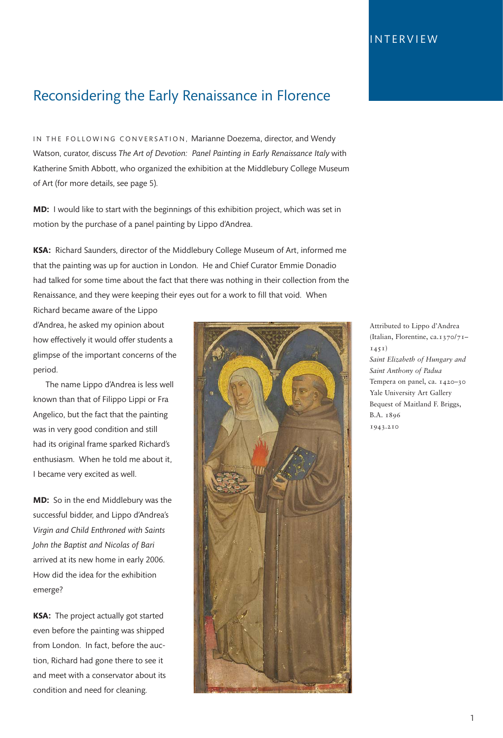# Reconsidering the Early Renaissance in Florence

IN THE FOLLOWING CONVERSATION, Marianne Doezema, director, and Wendy Watson, curator, discuss *The Art of Devotion: Panel Painting in Early Renaissance Italy* with Katherine Smith Abbott, who organized the exhibition at the Middlebury College Museum of Art (for more details, see page 5).

**MD:** I would like to start with the beginnings of this exhibition project, which was set in motion by the purchase of a panel painting by Lippo d'Andrea.

**KSA:** Richard Saunders, director of the Middlebury College Museum of Art, informed me that the painting was up for auction in London. He and Chief Curator Emmie Donadio had talked for some time about the fact that there was nothing in their collection from the Renaissance, and they were keeping their eyes out for a work to fill that void. When

Richard became aware of the Lippo d'Andrea, he asked my opinion about how effectively it would offer students a glimpse of the important concerns of the period.

The name Lippo d'Andrea is less well known than that of Filippo Lippi or Fra Angelico, but the fact that the painting was in very good condition and still had its original frame sparked Richard's enthusiasm. When he told me about it, I became very excited as well.

**MD:** So in the end Middlebury was the successful bidder, and Lippo d'Andrea's *Virgin and Child Enthroned with Saints John the Baptist and Nicolas of Bari* arrived at its new home in early 2006. How did the idea for the exhibition emerge?

**KSA:** The project actually got started even before the painting was shipped from London. In fact, before the auction, Richard had gone there to see it and meet with a conservator about its condition and need for cleaning.



Attributed to Lippo d'Andrea (Italian, Florentine, ca.1370/71– 1451) *Saint Elizabeth of Hungary and Saint Anthony of Padua* Tempera on panel, ca. 1420-30 Yale University Art Gallery Bequest of Maitland F. Briggs, B.A. 1896 1943.210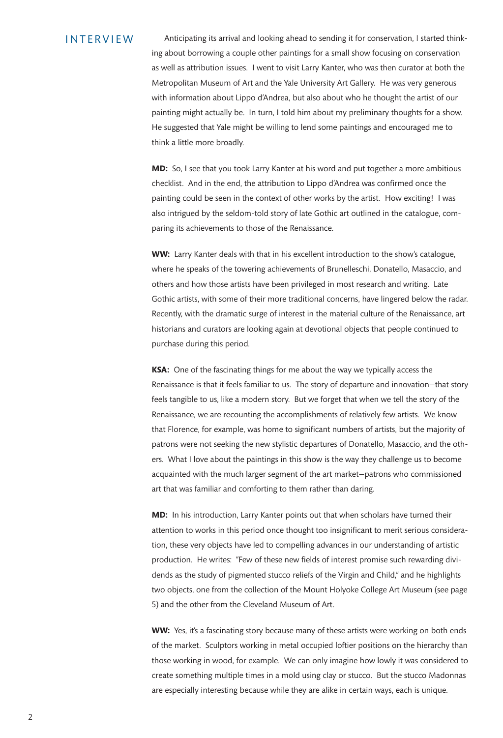Anticipating its arrival and looking ahead to sending it for conservation, I started thinking about borrowing a couple other paintings for a small show focusing on conservation as well as attribution issues. I went to visit Larry Kanter, who was then curator at both the Metropolitan Museum of Art and the Yale University Art Gallery. He was very generous with information about Lippo d'Andrea, but also about who he thought the artist of our painting might actually be. In turn, I told him about my preliminary thoughts for a show. He suggested that Yale might be willing to lend some paintings and encouraged me to think a little more broadly.

**MD:** So, I see that you took Larry Kanter at his word and put together a more ambitious checklist. And in the end, the attribution to Lippo d'Andrea was confirmed once the painting could be seen in the context of other works by the artist. How exciting! I was also intrigued by the seldom-told story of late Gothic art outlined in the catalogue, comparing its achievements to those of the Renaissance.

**WW:** Larry Kanter deals with that in his excellent introduction to the show's catalogue, where he speaks of the towering achievements of Brunelleschi, Donatello, Masaccio, and others and how those artists have been privileged in most research and writing. Late Gothic artists, with some of their more traditional concerns, have lingered below the radar. Recently, with the dramatic surge of interest in the material culture of the Renaissance, art historians and curators are looking again at devotional objects that people continued to purchase during this period.

**KSA:** One of the fascinating things for me about the way we typically access the Renaissance is that it feels familiar to us. The story of departure and innovation—that story feels tangible to us, like a modern story. But we forget that when we tell the story of the Renaissance, we are recounting the accomplishments of relatively few artists. We know that Florence, for example, was home to significant numbers of artists, but the majority of patrons were not seeking the new stylistic departures of Donatello, Masaccio, and the others. What I love about the paintings in this show is the way they challenge us to become acquainted with the much larger segment of the art market—patrons who commissioned art that was familiar and comforting to them rather than daring.

**MD:** In his introduction, Larry Kanter points out that when scholars have turned their attention to works in this period once thought too insignificant to merit serious consideration, these very objects have led to compelling advances in our understanding of artistic production. He writes: "Few of these new fields of interest promise such rewarding dividends as the study of pigmented stucco reliefs of the Virgin and Child," and he highlights two objects, one from the collection of the Mount Holyoke College Art Museum (see page 5) and the other from the Cleveland Museum of Art.

**WW:** Yes, it's a fascinating story because many of these artists were working on both ends of the market. Sculptors working in metal occupied loftier positions on the hierarchy than those working in wood, for example. We can only imagine how lowly it was considered to create something multiple times in a mold using clay or stucco. But the stucco Madonnas are especially interesting because while they are alike in certain ways, each is unique.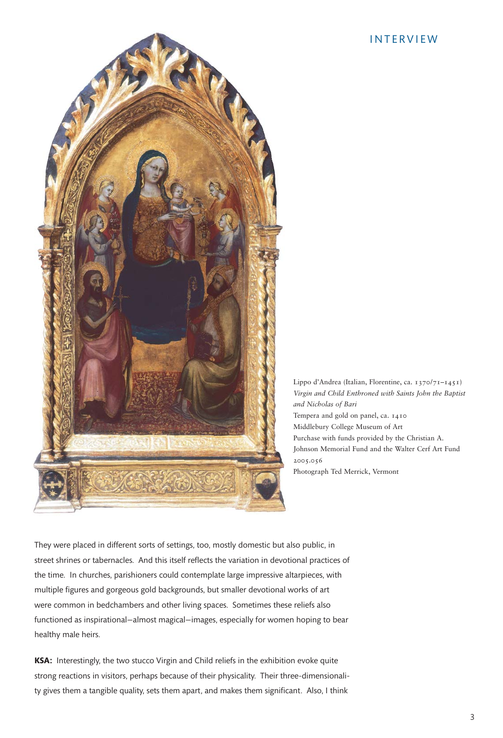

Lippo d'Andrea (Italian, Florentine, ca. 1370/71–1451) *Virgin and Child Enthroned with Saints John the Baptist and Nicholas of Bari* Tempera and gold on panel, ca. 1410 Middlebury College Museum of Art Purchase with funds provided by the Christian A. Johnson Memorial Fund and the Walter Cerf Art Fund 2005.056 Photograph Ted Merrick, Vermont

They were placed in different sorts of settings, too, mostly domestic but also public, in street shrines or tabernacles. And this itself reflects the variation in devotional practices of the time. In churches, parishioners could contemplate large impressive altarpieces, with multiple figures and gorgeous gold backgrounds, but smaller devotional works of art were common in bedchambers and other living spaces. Sometimes these reliefs also functioned as inspirational—almost magical—images, especially for women hoping to bear healthy male heirs.

**KSA:** Interestingly, the two stucco Virgin and Child reliefs in the exhibition evoke quite strong reactions in visitors, perhaps because of their physicality. Their three-dimensionality gives them a tangible quality, sets them apart, and makes them significant. Also, I think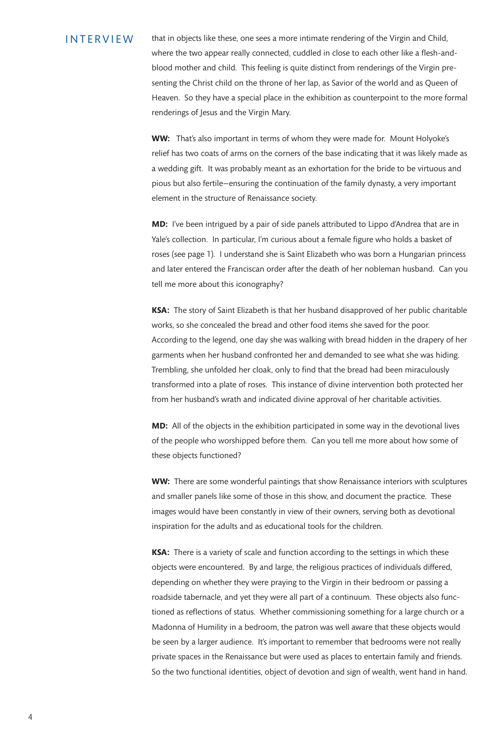that in objects like these, one sees a more intimate rendering of the Virgin and Child, where the two appear really connected, cuddled in close to each other like a flesh-andblood mother and child. This feeling is quite distinct from renderings of the Virgin presenting the Christ child on the throne of her lap, as Savior of the world and as Queen of Heaven. So they have a special place in the exhibition as counterpoint to the more formal renderings of Jesus and the Virgin Mary.

**WW:** That's also important in terms of whom they were made for. Mount Holyoke's relief has two coats of arms on the corners of the base indicating that it was likely made as a wedding gift. It was probably meant as an exhortation for the bride to be virtuous and pious but also fertile—ensuring the continuation of the family dynasty, a very important element in the structure of Renaissance society.

**MD:** I've been intrigued by a pair of side panels attributed to Lippo d'Andrea that are in Yale's collection. In particular, I'm curious about a female figure who holds a basket of roses (see page 1). I understand she is Saint Elizabeth who was born a Hungarian princess and later entered the Franciscan order after the death of her nobleman husband. Can you tell me more about this iconography?

**KSA:** The story of Saint Elizabeth is that her husband disapproved of her public charitable works, so she concealed the bread and other food items she saved for the poor. According to the legend, one day she was walking with bread hidden in the drapery of her garments when her husband confronted her and demanded to see what she was hiding. Trembling, she unfolded her cloak, only to find that the bread had been miraculously transformed into a plate of roses. This instance of divine intervention both protected her from her husband's wrath and indicated divine approval of her charitable activities.

**MD:** All of the objects in the exhibition participated in some way in the devotional lives of the people who worshipped before them. Can you tell me more about how some of these objects functioned?

**WW:** There are some wonderful paintings that show Renaissance interiors with sculptures and smaller panels like some of those in this show, and document the practice. These images would have been constantly in view of their owners, serving both as devotional inspiration for the adults and as educational tools for the children.

**KSA:** There is a variety of scale and function according to the settings in which these objects were encountered. By and large, the religious practices of individuals differed, depending on whether they were praying to the Virgin in their bedroom or passing a roadside tabernacle, and yet they were all part of a continuum. These objects also functioned as reflections of status. Whether commissioning something for a large church or a Madonna of Humility in a bedroom, the patron was well aware that these objects would be seen by a larger audience. It's important to remember that bedrooms were not really private spaces in the Renaissance but were used as places to entertain family and friends. So the two functional identities, object of devotion and sign of wealth, went hand in hand.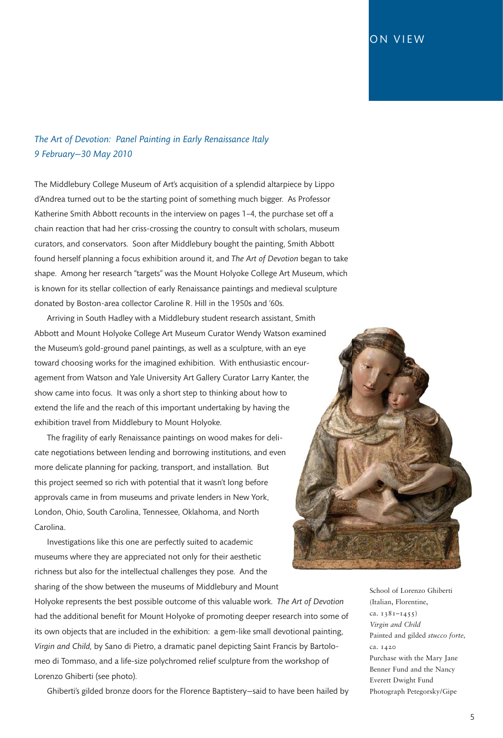### ON VIEW

### *The Art of Devotion: Panel Painting in Early Renaissance Italy 9 February—30 May 2010*

The Middlebury College Museum of Art's acquisition of a splendid altarpiece by Lippo d'Andrea turned out to be the starting point of something much bigger. As Professor Katherine Smith Abbott recounts in the interview on pages 1–4, the purchase set off a chain reaction that had her criss-crossing the country to consult with scholars, museum curators, and conservators. Soon after Middlebury bought the painting, Smith Abbott found herself planning a focus exhibition around it, and *The Art of Devotion* began to take shape. Among her research "targets" was the Mount Holyoke College Art Museum, which is known for its stellar collection of early Renaissance paintings and medieval sculpture donated by Boston-area collector Caroline R. Hill in the 1950s and '60s.

Arriving in South Hadley with a Middlebury student research assistant, Smith Abbott and Mount Holyoke College Art Museum Curator Wendy Watson examined the Museum's gold-ground panel paintings, as well as a sculpture, with an eye toward choosing works for the imagined exhibition. With enthusiastic encouragement from Watson and Yale University Art Gallery Curator Larry Kanter, the show came into focus. It was only a short step to thinking about how to extend the life and the reach of this important undertaking by having the exhibition travel from Middlebury to Mount Holyoke.

The fragility of early Renaissance paintings on wood makes for delicate negotiations between lending and borrowing institutions, and even more delicate planning for packing, transport, and installation. But this project seemed so rich with potential that it wasn't long before approvals came in from museums and private lenders in New York, London, Ohio, South Carolina, Tennessee, Oklahoma, and North Carolina.

Investigations like this one are perfectly suited to academic museums where they are appreciated not only for their aesthetic richness but also for the intellectual challenges they pose. And the sharing of the show between the museums of Middlebury and Mount

Holyoke represents the best possible outcome of this valuable work. *The Art of Devotion* had the additional benefit for Mount Holyoke of promoting deeper research into some of its own objects that are included in the exhibition: a gem-like small devotional painting, *Virgin and Child,* by Sano di Pietro, a dramatic panel depicting Saint Francis by Bartolomeo di Tommaso, and a life-size polychromed relief sculpture from the workshop of Lorenzo Ghiberti (see photo).

Ghiberti's gilded bronze doors for the Florence Baptistery—said to have been hailed by



School of Lorenzo Ghiberti (Italian, Florentine, ca. 1381–1455) *Virgin and Child* Painted and gilded *stucco forte,* ca. 1420 Purchase with the Mary Jane Benner Fund and the Nancy Everett Dwight Fund Photograph Petegorsky/Gipe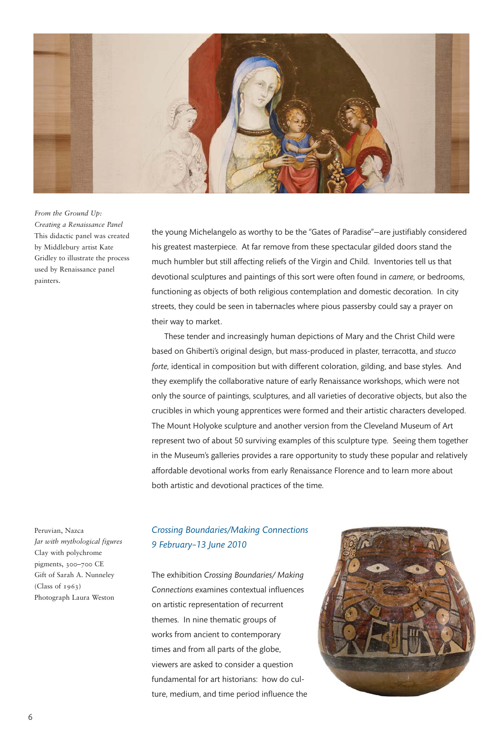

*From the Ground Up: Creating a Renaissance Panel* This didactic panel was created by Middlebury artist Kate Gridley to illustrate the process used by Renaissance panel painters.

the young Michelangelo as worthy to be the "Gates of Paradise"—are justifiably considered his greatest masterpiece. At far remove from these spectacular gilded doors stand the much humbler but still affecting reliefs of the Virgin and Child. Inventories tell us that devotional sculptures and paintings of this sort were often found in *camere,* or bedrooms, functioning as objects of both religious contemplation and domestic decoration. In city streets, they could be seen in tabernacles where pious passersby could say a prayer on their way to market.

These tender and increasingly human depictions of Mary and the Christ Child were based on Ghiberti's original design, but mass-produced in plaster, terracotta, and *stucco forte,* identical in composition but with different coloration, gilding, and base styles. And they exemplify the collaborative nature of early Renaissance workshops, which were not only the source of paintings, sculptures, and all varieties of decorative objects, but also the crucibles in which young apprentices were formed and their artistic characters developed. The Mount Holyoke sculpture and another version from the Cleveland Museum of Art represent two of about 50 surviving examples of this sculpture type. Seeing them together in the Museum's galleries provides a rare opportunity to study these popular and relatively affordable devotional works from early Renaissance Florence and to learn more about both artistic and devotional practices of the time.

Peruvian, Nazca *Jar with mythological figures* Clay with polychrome pigments, 300–700 CE Gift of Sarah A. Nunneley  $(Class of 1963)$ Photograph Laura Weston

### *Crossing Boundaries/Making Connections 9 February–13 June 2010*

The exhibition *Crossing Boundaries/ Making Connections* examines contextual influences on artistic representation of recurrent themes. In nine thematic groups of works from ancient to contemporary times and from all parts of the globe, viewers are asked to consider a question fundamental for art historians: how do culture, medium, and time period influence the

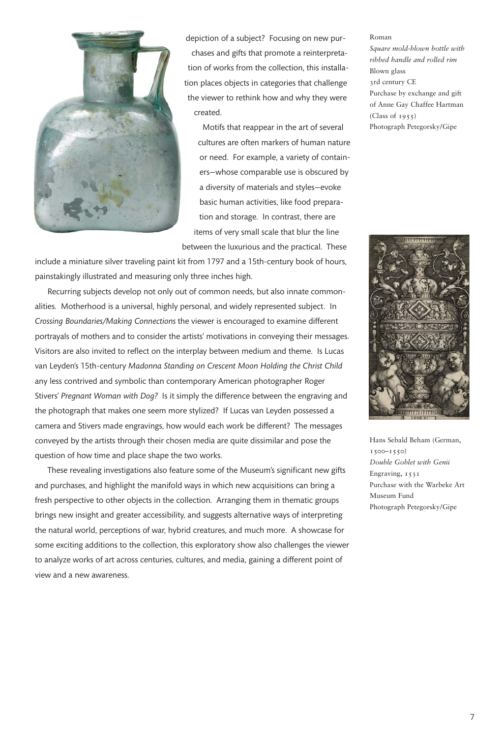

depiction of a subject? Focusing on new purchases and gifts that promote a reinterpretation of works from the collection, this installation places objects in categories that challenge the viewer to rethink how and why they were created.

Motifs that reappear in the art of several cultures are often markers of human nature or need. For example, a variety of containers—whose comparable use is obscured by a diversity of materials and styles—evoke basic human activities, like food preparation and storage. In contrast, there are items of very small scale that blur the line between the luxurious and the practical. These

include a miniature silver traveling paint kit from 1797 and a 15th-century book of hours, painstakingly illustrated and measuring only three inches high.

Recurring subjects develop not only out of common needs, but also innate commonalities. Motherhood is a universal, highly personal, and widely represented subject. In *Crossing Boundaries/Making Connections* the viewer is encouraged to examine different portrayals of mothers and to consider the artists' motivations in conveying their messages. Visitors are also invited to reflect on the interplay between medium and theme. Is Lucas van Leyden's 15th-century *Madonna Standing on Crescent Moon Holding the Christ Child* any less contrived and symbolic than contemporary American photographer Roger Stivers' *Pregnant Woman with Dog?* Is it simply the difference between the engraving and the photograph that makes one seem more stylized? If Lucas van Leyden possessed a camera and Stivers made engravings, how would each work be different? The messages conveyed by the artists through their chosen media are quite dissimilar and pose the question of how time and place shape the two works.

These revealing investigations also feature some of the Museum's significant new gifts and purchases, and highlight the manifold ways in which new acquisitions can bring a fresh perspective to other objects in the collection. Arranging them in thematic groups brings new insight and greater accessibility, and suggests alternative ways of interpreting the natural world, perceptions of war, hybrid creatures, and much more. A showcase for some exciting additions to the collection, this exploratory show also challenges the viewer to analyze works of art across centuries, cultures, and media, gaining a different point of view and a new awareness.

#### Roman *Square mold-blown bottle with ribbed handle and rolled rim* Blown glass 3rd century CE Purchase by exchange and gift of Anne Gay Chaffee Hartman  $(Class of 1955)$ Photograph Petegorsky/Gipe



Hans Sebald Beham (German, 1500–1550) *Double Goblet with Genii* Engraving, 1531 Purchase with the Warbeke Art Museum Fund Photograph Petegorsky/Gipe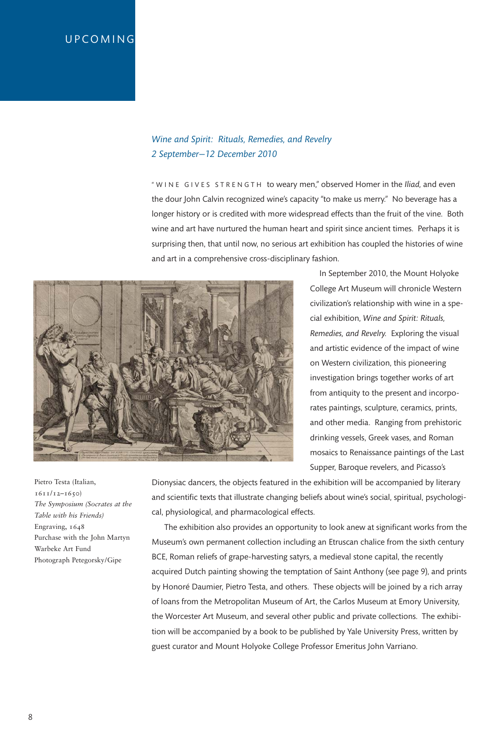## **UPCOMING**

### *Wine and Spirit: Rituals, Remedies, and Revelry 2 September—12 December 2010*

" W I N E G I V E S S T R E N G T H to weary men," observed Homer in the *Iliad*, and even the dour John Calvin recognized wine's capacity "to make us merry." No beverage has a longer history or is credited with more widespread effects than the fruit of the vine. Both wine and art have nurtured the human heart and spirit since ancient times. Perhaps it is surprising then, that until now, no serious art exhibition has coupled the histories of wine and art in a comprehensive cross-disciplinary fashion.



In September 2010, the Mount Holyoke College Art Museum will chronicle Western civilization's relationship with wine in a special exhibition, *Wine and Spirit: Rituals, Remedies, and Revelry.* Exploring the visual and artistic evidence of the impact of wine on Western civilization, this pioneering investigation brings together works of art from antiquity to the present and incorporates paintings, sculpture, ceramics, prints, and other media. Ranging from prehistoric drinking vessels, Greek vases, and Roman mosaics to Renaissance paintings of the Last Supper, Baroque revelers, and Picasso's

Pietro Testa (Italian, 1611/12–1650) *The Symposium (Socrates at the Table with his Friends)* Engraving, 1648 Purchase with the John Martyn Warbeke Art Fund Photograph Petegorsky/Gipe

Dionysiac dancers, the objects featured in the exhibition will be accompanied by literary and scientific texts that illustrate changing beliefs about wine's social, spiritual, psychological, physiological, and pharmacological effects.

The exhibition also provides an opportunity to look anew at significant works from the Museum's own permanent collection including an Etruscan chalice from the sixth century BCE, Roman reliefs of grape-harvesting satyrs, a medieval stone capital, the recently acquired Dutch painting showing the temptation of Saint Anthony (see page 9), and prints by Honoré Daumier, Pietro Testa, and others. These objects will be joined by a rich array of loans from the Metropolitan Museum of Art, the Carlos Museum at Emory University, the Worcester Art Museum, and several other public and private collections. The exhibition will be accompanied by a book to be published by Yale University Press, written by guest curator and Mount Holyoke College Professor Emeritus John Varriano.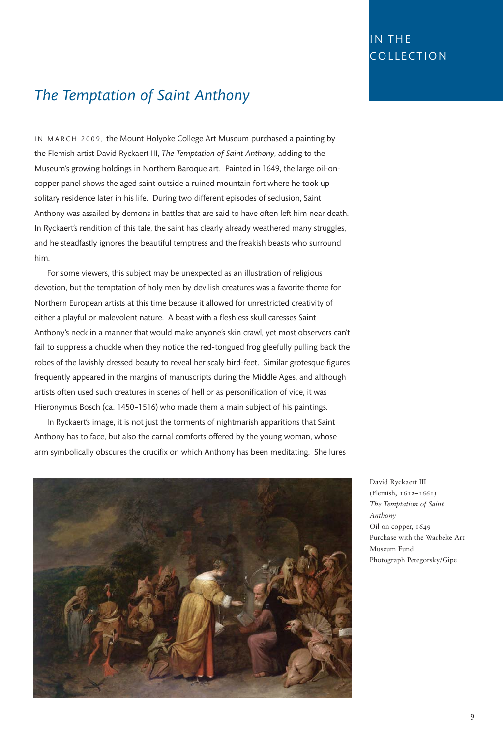# IN THE COLLECTION

# *The Temptation of Saint Anthony*

IN MARCH 2009, the Mount Holyoke College Art Museum purchased a painting by the Flemish artist David Ryckaert III, *The Temptation of Saint Anthony*, adding to the Museum's growing holdings in Northern Baroque art. Painted in 1649, the large oil-oncopper panel shows the aged saint outside a ruined mountain fort where he took up solitary residence later in his life. During two different episodes of seclusion, Saint Anthony was assailed by demons in battles that are said to have often left him near death. In Ryckaert's rendition of this tale, the saint has clearly already weathered many struggles, and he steadfastly ignores the beautiful temptress and the freakish beasts who surround him.

For some viewers, this subject may be unexpected as an illustration of religious devotion, but the temptation of holy men by devilish creatures was a favorite theme for Northern European artists at this time because it allowed for unrestricted creativity of either a playful or malevolent nature. A beast with a fleshless skull caresses Saint Anthony's neck in a manner that would make anyone's skin crawl, yet most observers can't fail to suppress a chuckle when they notice the red-tongued frog gleefully pulling back the robes of the lavishly dressed beauty to reveal her scaly bird-feet. Similar grotesque figures frequently appeared in the margins of manuscripts during the Middle Ages, and although artists often used such creatures in scenes of hell or as personification of vice, it was Hieronymus Bosch (ca. 1450–1516) who made them a main subject of his paintings.

In Ryckaert's image, it is not just the torments of nightmarish apparitions that Saint Anthony has to face, but also the carnal comforts offered by the young woman, whose arm symbolically obscures the crucifix on which Anthony has been meditating. She lures



David Ryckaert III (Flemish, 1612–1661) *The Temptation of Saint Anthony* Oil on copper, 1649 Purchase with the Warbeke Art Museum Fund Photograph Petegorsky/Gipe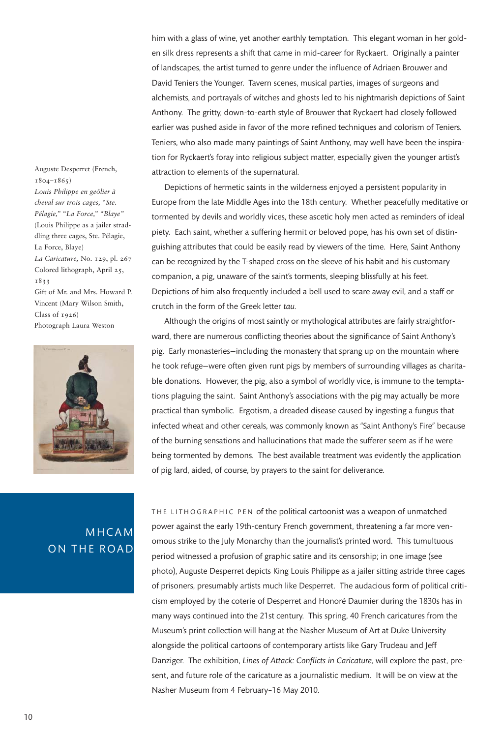him with a glass of wine, yet another earthly temptation. This elegant woman in her golden silk dress represents a shift that came in mid-career for Ryckaert. Originally a painter of landscapes, the artist turned to genre under the influence of Adriaen Brouwer and David Teniers the Younger. Tavern scenes, musical parties, images of surgeons and alchemists, and portrayals of witches and ghosts led to his nightmarish depictions of Saint Anthony. The gritty, down-to-earth style of Brouwer that Ryckaert had closely followed earlier was pushed aside in favor of the more refined techniques and colorism of Teniers. Teniers, who also made many paintings of Saint Anthony, may well have been the inspiration for Ryckaert's foray into religious subject matter, especially given the younger artist's attraction to elements of the supernatural.

Depictions of hermetic saints in the wilderness enjoyed a persistent popularity in Europe from the late Middle Ages into the 18th century. Whether peacefully meditative or tormented by devils and worldly vices, these ascetic holy men acted as reminders of ideal piety. Each saint, whether a suffering hermit or beloved pope, has his own set of distinguishing attributes that could be easily read by viewers of the time. Here, Saint Anthony can be recognized by the T-shaped cross on the sleeve of his habit and his customary companion, a pig, unaware of the saint's torments, sleeping blissfully at his feet. Depictions of him also frequently included a bell used to scare away evil, and a staff or crutch in the form of the Greek letter *tau.*

Although the origins of most saintly or mythological attributes are fairly straightforward, there are numerous conflicting theories about the significance of Saint Anthony's pig. Early monasteries—including the monastery that sprang up on the mountain where he took refuge—were often given runt pigs by members of surrounding villages as charitable donations. However, the pig, also a symbol of worldly vice, is immune to the temptations plaguing the saint. Saint Anthony's associations with the pig may actually be more practical than symbolic. Ergotism, a dreaded disease caused by ingesting a fungus that infected wheat and other cereals, was commonly known as "Saint Anthony's Fire" because of the burning sensations and hallucinations that made the sufferer seem as if he were being tormented by demons. The best available treatment was evidently the application of pig lard, aided, of course, by prayers to the saint for deliverance.

THE LITHOGRAPHIC PEN of the political cartoonist was a weapon of unmatched power against the early 19th-century French government, threatening a far more venomous strike to the July Monarchy than the journalist's printed word. This tumultuous period witnessed a profusion of graphic satire and its censorship; in one image (see photo), Auguste Desperret depicts King Louis Philippe as a jailer sitting astride three cages of prisoners, presumably artists much like Desperret. The audacious form of political criticism employed by the coterie of Desperret and Honoré Daumier during the 1830s has in many ways continued into the 21st century. This spring, 40 French caricatures from the Museum's print collection will hang at the Nasher Museum of Art at Duke University alongside the political cartoons of contemporary artists like Gary Trudeau and Jeff Danziger. The exhibition, *Lines of Attack: Conflicts in Caricature,* will explore the past, present, and future role of the caricature as a journalistic medium. It will be on view at the Nasher Museum from 4 February–16 May 2010.

Auguste Desperret (French,  $1804 - 1865$ *Louis Philippe en geôlier à cheval sur trois cages, "Ste. Pélagie," "La Force," "Blaye"* (Louis Philippe as a jailer straddling three cages, Ste. Pélagie, La Force, Blaye) *La Caricature,* No. 129, pl. 267 Colored lithograph, April 25, 1833 Gift of Mr. and Mrs. Howard P. Vincent (Mary Wilson Smith, Class of  $1926$ Photograph Laura Weston



# MHCAM ON THE ROAD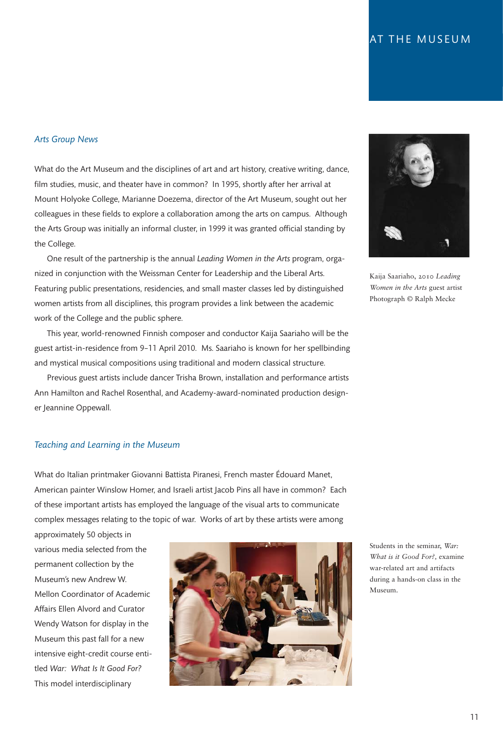#### *Arts Group News*

What do the Art Museum and the disciplines of art and art history, creative writing, dance, film studies, music, and theater have in common? In 1995, shortly after her arrival at Mount Holyoke College, Marianne Doezema, director of the Art Museum, sought out her colleagues in these fields to explore a collaboration among the arts on campus. Although the Arts Group was initially an informal cluster, in 1999 it was granted official standing by the College.

One result of the partnership is the annual *Leading Women in the Arts* program, organized in conjunction with the Weissman Center for Leadership and the Liberal Arts. Featuring public presentations, residencies, and small master classes led by distinguished women artists from all disciplines, this program provides a link between the academic work of the College and the public sphere.

This year, world-renowned Finnish composer and conductor Kaija Saariaho will be the guest artist-in-residence from 9–11 April 2010. Ms. Saariaho is known for her spellbinding and mystical musical compositions using traditional and modern classical structure.

Previous guest artists include dancer Trisha Brown, installation and performance artists Ann Hamilton and Rachel Rosenthal, and Academy-award-nominated production designer Jeannine Oppewall.

#### *Teaching and Learning in the Museum*

What do Italian printmaker Giovanni Battista Piranesi, French master Édouard Manet, American painter Winslow Homer, and Israeli artist Jacob Pins all have in common? Each of these important artists has employed the language of the visual arts to communicate complex messages relating to the topic of war. Works of art by these artists were among

approximately 50 objects in various media selected from the permanent collection by the Museum's new Andrew W. Mellon Coordinator of Academic Affairs Ellen Alvord and Curator Wendy Watson for display in the Museum this past fall for a new intensive eight-credit course entitled *War: What Is It Good For?* This model interdisciplinary





Kaija Saariaho, 2010 *Leading Women in the Arts* guest artist Photograph © Ralph Mecke

Students in the seminar, *War: What is it Good For?,* examine war-related art and artifacts during a hands-on class in the Museum.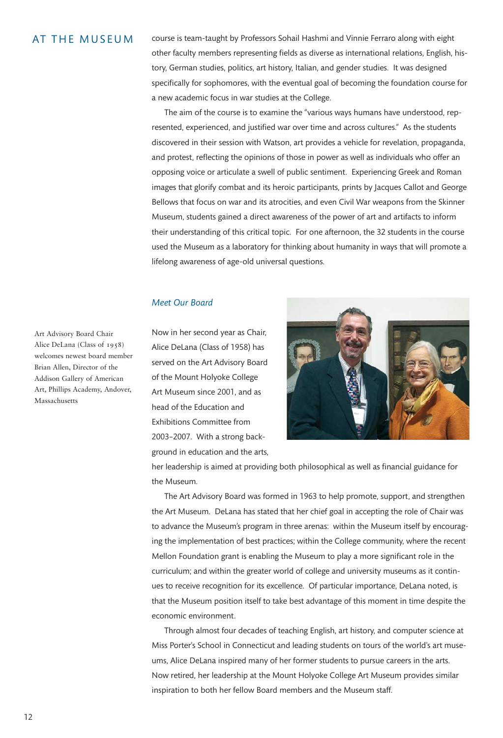### AT THE MUSEUM

course is team-taught by Professors Sohail Hashmi and Vinnie Ferraro along with eight other faculty members representing fields as diverse as international relations, English, history, German studies, politics, art history, Italian, and gender studies. It was designed specifically for sophomores, with the eventual goal of becoming the foundation course for a new academic focus in war studies at the College.

The aim of the course is to examine the "various ways humans have understood, represented, experienced, and justified war over time and across cultures." As the students discovered in their session with Watson, art provides a vehicle for revelation, propaganda, and protest, reflecting the opinions of those in power as well as individuals who offer an opposing voice or articulate a swell of public sentiment. Experiencing Greek and Roman images that glorify combat and its heroic participants, prints by Jacques Callot and George Bellows that focus on war and its atrocities, and even Civil War weapons from the Skinner Museum, students gained a direct awareness of the power of art and artifacts to inform their understanding of this critical topic. For one afternoon, the 32 students in the course used the Museum as a laboratory for thinking about humanity in ways that will promote a lifelong awareness of age-old universal questions.

#### *Meet Our Board*

Now in her second year as Chair, Alice DeLana (Class of 1958) has served on the Art Advisory Board of the Mount Holyoke College Art Museum since 2001, and as head of the Education and Exhibitions Committee from 2003–2007. With a strong background in education and the arts,



her leadership is aimed at providing both philosophical as well as financial guidance for the Museum.

The Art Advisory Board was formed in 1963 to help promote, support, and strengthen the Art Museum. DeLana has stated that her chief goal in accepting the role of Chair was to advance the Museum's program in three arenas: within the Museum itself by encouraging the implementation of best practices; within the College community, where the recent Mellon Foundation grant is enabling the Museum to play a more significant role in the curriculum; and within the greater world of college and university museums as it continues to receive recognition for its excellence. Of particular importance, DeLana noted, is that the Museum position itself to take best advantage of this moment in time despite the economic environment.

Through almost four decades of teaching English, art history, and computer science at Miss Porter's School in Connecticut and leading students on tours of the world's art museums, Alice DeLana inspired many of her former students to pursue careers in the arts. Now retired, her leadership at the Mount Holyoke College Art Museum provides similar inspiration to both her fellow Board members and the Museum staff.

Art Advisory Board Chair Alice DeLana (Class of 1958) welcomes newest board member Brian Allen, Director of the Addison Gallery of American Art, Phillips Academy, Andover, Massachusetts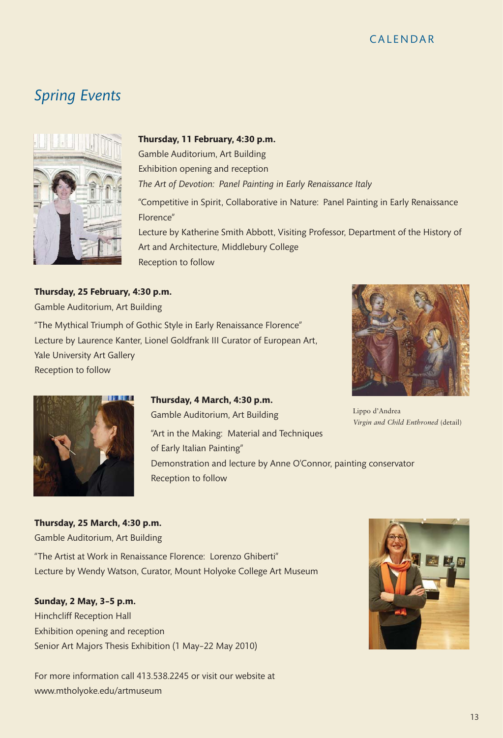# **CALENDAR**

# *Spring Events*



#### **Thursday, 11 February, 4:30 p.m.**

Gamble Auditorium, Art Building Exhibition opening and reception

*The Art of Devotion: Panel Painting in Early Renaissance Italy*

"Competitive in Spirit, Collaborative in Nature: Panel Painting in Early Renaissance Florence"

Lecture by Katherine Smith Abbott, Visiting Professor, Department of the History of Art and Architecture, Middlebury College Reception to follow

### **Thursday, 25 February, 4:30 p.m.**

Gamble Auditorium, Art Building

"The Mythical Triumph of Gothic Style in Early Renaissance Florence" Lecture by Laurence Kanter, Lionel Goldfrank III Curator of European Art, Yale University Art Gallery Reception to follow



Lippo d'Andrea *Virgin and Child Enthroned* (detail)



### **Thursday, 4 March, 4:30 p.m.**

Gamble Auditorium, Art Building "Art in the Making: Material and Techniques of Early Italian Painting" Demonstration and lecture by Anne O'Connor, painting conservator Reception to follow

# **Thursday, 25 March, 4:30 p.m.**

Gamble Auditorium, Art Building

"The Artist at Work in Renaissance Florence: Lorenzo Ghiberti" Lecture by Wendy Watson, Curator, Mount Holyoke College Art Museum

### **Sunday, 2 May, 3–5 p.m.**

Hinchcliff Reception Hall Exhibition opening and reception Senior Art Majors Thesis Exhibition (1 May–22 May 2010)

For more information call 413.538.2245 or visit our website at www.mtholyoke.edu/artmuseum